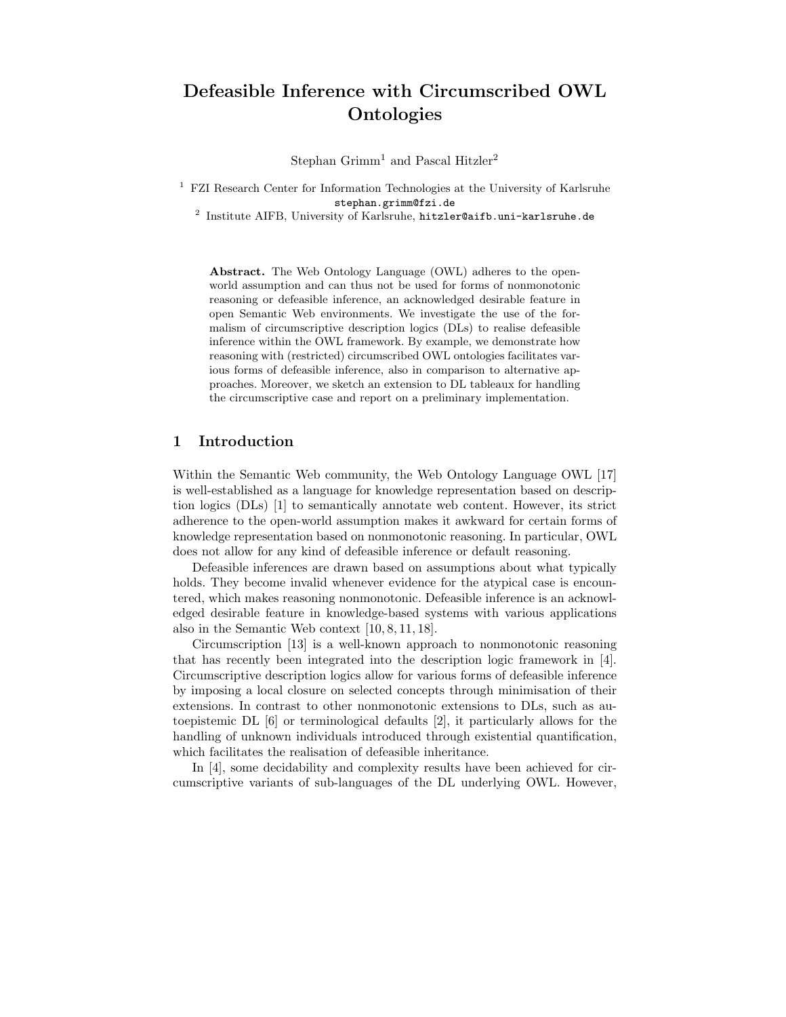# Defeasible Inference with Circumscribed OWL **Ontologies**

Stephan  $G$ rimm<sup>1</sup> and Pascal Hitzler<sup>2</sup>

<sup>1</sup> FZI Research Center for Information Technologies at the University of Karlsruhe stephan.grimm@fzi.de

2 Institute AIFB, University of Karlsruhe, hitzler@aifb.uni-karlsruhe.de

Abstract. The Web Ontology Language (OWL) adheres to the openworld assumption and can thus not be used for forms of nonmonotonic reasoning or defeasible inference, an acknowledged desirable feature in open Semantic Web environments. We investigate the use of the formalism of circumscriptive description logics (DLs) to realise defeasible inference within the OWL framework. By example, we demonstrate how reasoning with (restricted) circumscribed OWL ontologies facilitates various forms of defeasible inference, also in comparison to alternative approaches. Moreover, we sketch an extension to DL tableaux for handling the circumscriptive case and report on a preliminary implementation.

## 1 Introduction

Within the Semantic Web community, the Web Ontology Language OWL [17] is well-established as a language for knowledge representation based on description logics (DLs) [1] to semantically annotate web content. However, its strict adherence to the open-world assumption makes it awkward for certain forms of knowledge representation based on nonmonotonic reasoning. In particular, OWL does not allow for any kind of defeasible inference or default reasoning.

Defeasible inferences are drawn based on assumptions about what typically holds. They become invalid whenever evidence for the atypical case is encountered, which makes reasoning nonmonotonic. Defeasible inference is an acknowledged desirable feature in knowledge-based systems with various applications also in the Semantic Web context [10, 8, 11, 18].

Circumscription [13] is a well-known approach to nonmonotonic reasoning that has recently been integrated into the description logic framework in [4]. Circumscriptive description logics allow for various forms of defeasible inference by imposing a local closure on selected concepts through minimisation of their extensions. In contrast to other nonmonotonic extensions to DLs, such as autoepistemic DL [6] or terminological defaults [2], it particularly allows for the handling of unknown individuals introduced through existential quantification, which facilitates the realisation of defeasible inheritance.

In [4], some decidability and complexity results have been achieved for circumscriptive variants of sub-languages of the DL underlying OWL. However,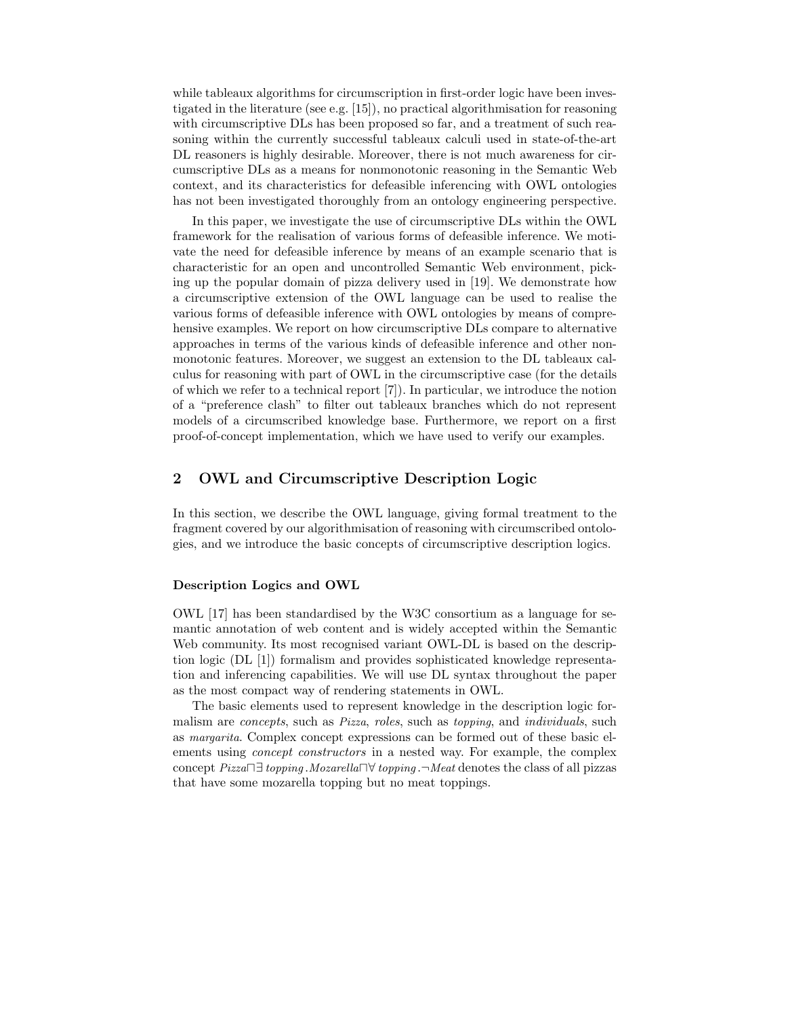while tableaux algorithms for circumscription in first-order logic have been investigated in the literature (see e.g. [15]), no practical algorithmisation for reasoning with circumscriptive DLs has been proposed so far, and a treatment of such reasoning within the currently successful tableaux calculi used in state-of-the-art DL reasoners is highly desirable. Moreover, there is not much awareness for circumscriptive DLs as a means for nonmonotonic reasoning in the Semantic Web context, and its characteristics for defeasible inferencing with OWL ontologies has not been investigated thoroughly from an ontology engineering perspective.

In this paper, we investigate the use of circumscriptive DLs within the OWL framework for the realisation of various forms of defeasible inference. We motivate the need for defeasible inference by means of an example scenario that is characteristic for an open and uncontrolled Semantic Web environment, picking up the popular domain of pizza delivery used in [19]. We demonstrate how a circumscriptive extension of the OWL language can be used to realise the various forms of defeasible inference with OWL ontologies by means of comprehensive examples. We report on how circumscriptive DLs compare to alternative approaches in terms of the various kinds of defeasible inference and other nonmonotonic features. Moreover, we suggest an extension to the DL tableaux calculus for reasoning with part of OWL in the circumscriptive case (for the details of which we refer to a technical report [7]). In particular, we introduce the notion of a "preference clash" to filter out tableaux branches which do not represent models of a circumscribed knowledge base. Furthermore, we report on a first proof-of-concept implementation, which we have used to verify our examples.

## 2 OWL and Circumscriptive Description Logic

In this section, we describe the OWL language, giving formal treatment to the fragment covered by our algorithmisation of reasoning with circumscribed ontologies, and we introduce the basic concepts of circumscriptive description logics.

#### Description Logics and OWL

OWL [17] has been standardised by the W3C consortium as a language for semantic annotation of web content and is widely accepted within the Semantic Web community. Its most recognised variant OWL-DL is based on the description logic (DL [1]) formalism and provides sophisticated knowledge representation and inferencing capabilities. We will use DL syntax throughout the paper as the most compact way of rendering statements in OWL.

The basic elements used to represent knowledge in the description logic formalism are *concepts*, such as *Pizza*, *roles*, such as *topping*, and *individuals*, such as margarita. Complex concept expressions can be formed out of these basic elements using *concept constructors* in a nested way. For example, the complex concept Pizza⊓∃ topping .Mozarella⊓∀ topping .¬Meat denotes the class of all pizzas that have some mozarella topping but no meat toppings.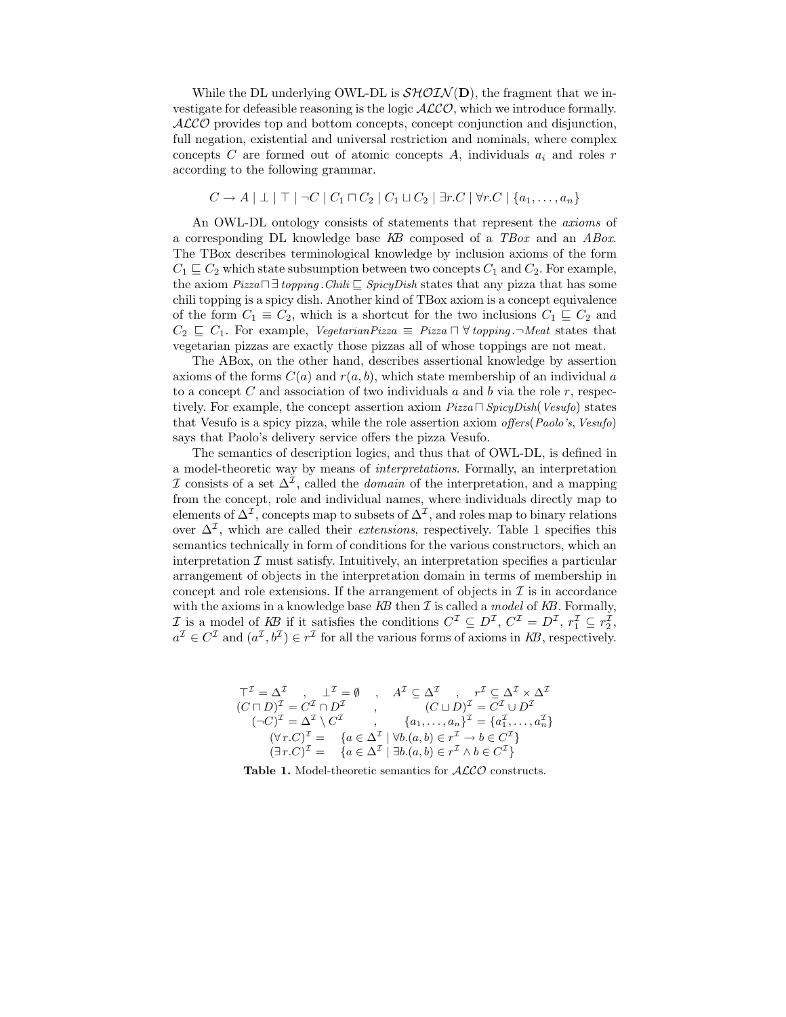While the DL underlying OWL-DL is  $\mathcal{SHOLN}(\mathbf{D})$ , the fragment that we investigate for defeasible reasoning is the logic  $ALCO$ , which we introduce formally. ALCO provides top and bottom concepts, concept conjunction and disjunction, full negation, existential and universal restriction and nominals, where complex concepts C are formed out of atomic concepts A, individuals  $a_i$  and roles r according to the following grammar.

$$
C \to A \mid \perp \mid \perp \mid \neg C \mid C_1 \sqcap C_2 \mid C_1 \sqcup C_2 \mid \exists r.C \mid \forall r.C \mid \{a_1, \ldots, a_n\}
$$

An OWL-DL ontology consists of statements that represent the *axioms* of a corresponding DL knowledge base KB composed of a TBox and an ABox. The TBox describes terminological knowledge by inclusion axioms of the form  $C_1 \sqsubseteq C_2$  which state subsumption between two concepts  $C_1$  and  $C_2$ . For example, the axiom  $Pizza \sqcap \exists$  topping  $. Chili \sqsubseteq SpicyDish$  states that any pizza that has some chili topping is a spicy dish. Another kind of TBox axiom is a concept equivalence of the form  $C_1 \equiv C_2$ , which is a shortcut for the two inclusions  $C_1 \sqsubseteq C_2$  and  $C_2 \subseteq C_1$ . For example, VegetarianPizza  $\equiv$  Pizza  $\Box \forall$  topping . $\neg$  Meat states that vegetarian pizzas are exactly those pizzas all of whose toppings are not meat.

The ABox, on the other hand, describes assertional knowledge by assertion axioms of the forms  $C(a)$  and  $r(a, b)$ , which state membership of an individual a to a concept C and association of two individuals a and b via the role r, respectively. For example, the concept assertion axiom  $Pizza \sqcap SpicyDish(Vesufo)$  states that Vesufo is a spicy pizza, while the role assertion axiom offers(Paolo's, Vesufo) says that Paolo's delivery service offers the pizza Vesufo.

The semantics of description logics, and thus that of OWL-DL, is defined in a model-theoretic way by means of interpretations. Formally, an interpretation I consists of a set  $\Delta^{\mathcal{I}}$ , called the *domain* of the interpretation, and a mapping from the concept, role and individual names, where individuals directly map to elements of  $\Delta^{\mathcal{I}}$ , concepts map to subsets of  $\Delta^{\mathcal{I}}$ , and roles map to binary relations over  $\Delta^{\mathcal{I}}$ , which are called their *extensions*, respectively. Table 1 specifies this semantics technically in form of conditions for the various constructors, which an interpretation  $\mathcal I$  must satisfy. Intuitively, an interpretation specifies a particular arrangement of objects in the interpretation domain in terms of membership in concept and role extensions. If the arrangement of objects in  $\mathcal I$  is in accordance with the axioms in a knowledge base  $KB$  then  $\mathcal I$  is called a model of  $KB$ . Formally, *I* is a model of KB if it satisfies the conditions  $C^{\mathcal{I}} \subseteq D^{\mathcal{I}}$ ,  $C^{\mathcal{I}} = D^{\mathcal{I}}$ ,  $r_1^{\mathcal{I}} \subseteq r_2^{\mathcal{I}}$ ,  $a^{\mathcal{I}} \in C^{\mathcal{I}}$  and  $(a^{\mathcal{I}}, b^{\mathcal{I}}) \in r^{\mathcal{I}}$  for all the various forms of axioms in KB, respectively.

$$
\begin{array}{ccc}\n\top^{\mathcal{I}} = \Delta^{\mathcal{I}} & , & \bot^{\mathcal{I}} = \emptyset & , & A^{\mathcal{I}} \subseteq \Delta^{\mathcal{I}} & , & r^{\mathcal{I}} \subseteq \Delta^{\mathcal{I}} \times \Delta^{\mathcal{I}} \\
(C \sqcap D)^{\mathcal{I}} = C^{\mathcal{I}} \cap D^{\mathcal{I}} & , & (C \sqcup D)^{\mathcal{I}} = C^{\mathcal{I}} \cup D^{\mathcal{I}} \\
(\neg C)^{\mathcal{I}} = \Delta^{\mathcal{I}} \setminus C^{\mathcal{I}} & , & \{a_1, \ldots, a_n\}^{\mathcal{I}} = \{a_1^{\mathcal{I}}, \ldots, a_n^{\mathcal{I}}\} \\
(\forall r.C)^{\mathcal{I}} = & \{a \in \Delta^{\mathcal{I}} \mid \forall b.(a, b) \in r^{\mathcal{I}} \to b \in C^{\mathcal{I}}\} \\
(\exists r.C)^{\mathcal{I}} = & \{a \in \Delta^{\mathcal{I}} \mid \exists b.(a, b) \in r^{\mathcal{I}} \land b \in C^{\mathcal{I}}\}\n\end{array}
$$

Table 1. Model-theoretic semantics for  $ALCO$  constructs.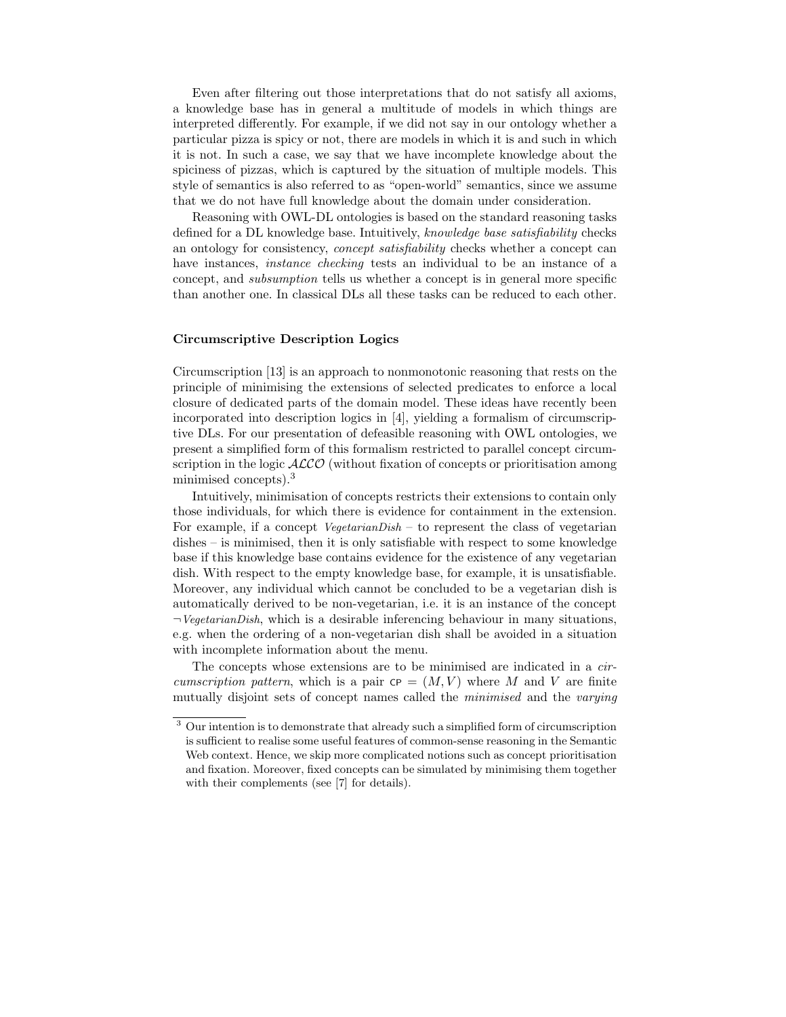Even after filtering out those interpretations that do not satisfy all axioms, a knowledge base has in general a multitude of models in which things are interpreted differently. For example, if we did not say in our ontology whether a particular pizza is spicy or not, there are models in which it is and such in which it is not. In such a case, we say that we have incomplete knowledge about the spiciness of pizzas, which is captured by the situation of multiple models. This style of semantics is also referred to as "open-world" semantics, since we assume that we do not have full knowledge about the domain under consideration.

Reasoning with OWL-DL ontologies is based on the standard reasoning tasks defined for a DL knowledge base. Intuitively, knowledge base satisfiability checks an ontology for consistency, concept satisfiability checks whether a concept can have instances, *instance checking* tests an individual to be an instance of a concept, and subsumption tells us whether a concept is in general more specific than another one. In classical DLs all these tasks can be reduced to each other.

#### Circumscriptive Description Logics

Circumscription [13] is an approach to nonmonotonic reasoning that rests on the principle of minimising the extensions of selected predicates to enforce a local closure of dedicated parts of the domain model. These ideas have recently been incorporated into description logics in [4], yielding a formalism of circumscriptive DLs. For our presentation of defeasible reasoning with OWL ontologies, we present a simplified form of this formalism restricted to parallel concept circumscription in the logic  $ALCO$  (without fixation of concepts or prioritisation among minimised concepts).<sup>3</sup>

Intuitively, minimisation of concepts restricts their extensions to contain only those individuals, for which there is evidence for containment in the extension. For example, if a concept  $VegetarianDish -$  to represent the class of vegetarian dishes – is minimised, then it is only satisfiable with respect to some knowledge base if this knowledge base contains evidence for the existence of any vegetarian dish. With respect to the empty knowledge base, for example, it is unsatisfiable. Moreover, any individual which cannot be concluded to be a vegetarian dish is automatically derived to be non-vegetarian, i.e. it is an instance of the concept  $\neg VegetarianDish$ , which is a desirable inferencing behaviour in many situations, e.g. when the ordering of a non-vegetarian dish shall be avoided in a situation with incomplete information about the menu.

The concepts whose extensions are to be minimised are indicated in a circumscription pattern, which is a pair  $\text{CP} = (M, V)$  where M and V are finite mutually disjoint sets of concept names called the *minimised* and the *varying* 

<sup>&</sup>lt;sup>3</sup> Our intention is to demonstrate that already such a simplified form of circumscription is sufficient to realise some useful features of common-sense reasoning in the Semantic Web context. Hence, we skip more complicated notions such as concept prioritisation and fixation. Moreover, fixed concepts can be simulated by minimising them together with their complements (see [7] for details).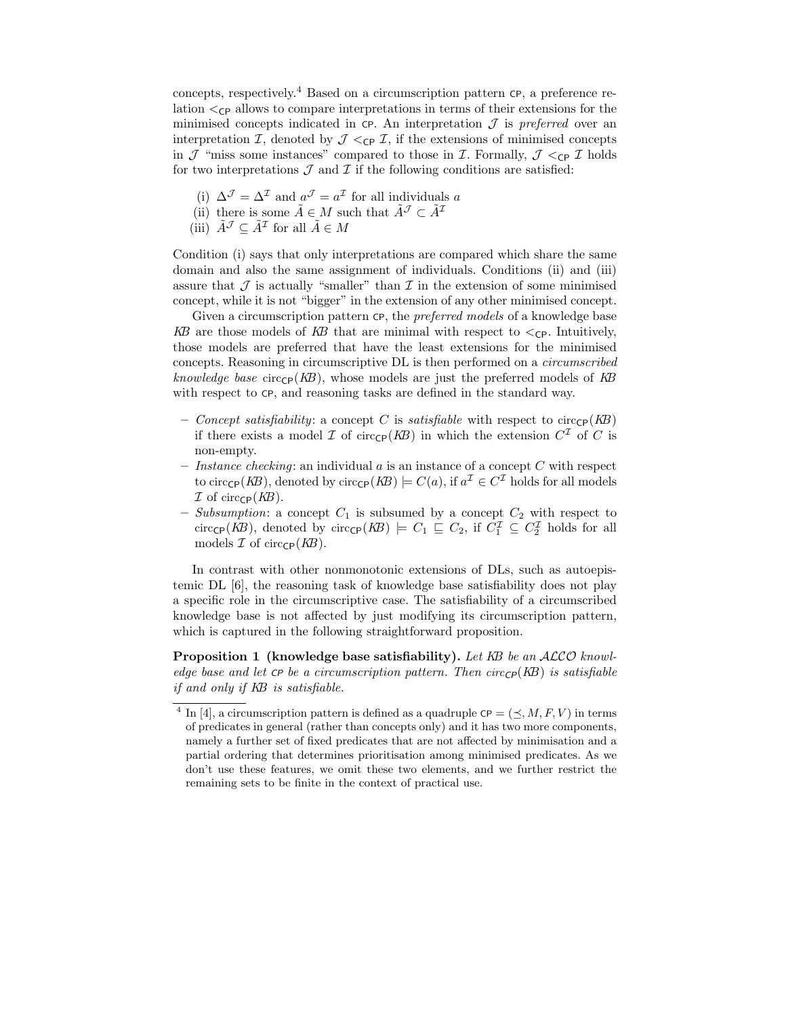concepts, respectively.<sup>4</sup> Based on a circumscription pattern CP, a preference relation  $\langle$ <sub>CP</sub> allows to compare interpretations in terms of their extensions for the minimised concepts indicated in  $\mathsf{c}_P$ . An interpretation  $\mathcal J$  is preferred over an interpretation I, denoted by  $\mathcal{J} \lt_{\text{CP}} \mathcal{I}$ , if the extensions of minimised concepts in  $\mathcal J$  "miss some instances" compared to those in  $\mathcal I$ . Formally,  $\mathcal J \lt_{\mathbb C} C \mathcal I$  holds for two interpretations  $\mathcal J$  and  $\mathcal I$  if the following conditions are satisfied:

- (i)  $\Delta^{\mathcal{J}} = \Delta^{\mathcal{I}}$  and  $a^{\mathcal{J}} = a^{\mathcal{I}}$  for all individuals a
- (ii) there is some  $\tilde{A} \in M$  such that  $\tilde{A}^{\mathcal{J}} \subset \tilde{A}^{\mathcal{I}}$
- (iii)  $\tilde{A}^{\mathcal{J}} \subseteq \tilde{A}^{\mathcal{I}}$  for all  $\tilde{A} \in M$

Condition (i) says that only interpretations are compared which share the same domain and also the same assignment of individuals. Conditions (ii) and (iii) assure that  $\mathcal J$  is actually "smaller" than  $\mathcal I$  in the extension of some minimised concept, while it is not "bigger" in the extension of any other minimised concept.

Given a circumscription pattern CP, the *preferred models* of a knowledge base KB are those models of KB that are minimal with respect to  $\lt_{\text{CP}}$ . Intuitively, those models are preferred that have the least extensions for the minimised concepts. Reasoning in circumscriptive DL is then performed on a circumscribed knowledge base circ $_{\text{CP}}(KB)$ , whose models are just the preferred models of KB with respect to CP, and reasoning tasks are defined in the standard way.

- Concept satisfiability: a concept C is satisfiable with respect to circ $_{\text{CP}}(KB)$ if there exists a model  $\mathcal I$  of circ<sub>CP</sub>( $KB$ ) in which the extension  $C^{\mathcal I}$  of  $C$  is non-empty.
- *Instance checking*: an individual  $a$  is an instance of a concept  $C$  with respect to circ<sub>CP</sub>(*KB*), denoted by circ<sub>CP</sub>(*KB*)  $\models C(a)$ , if  $a^{\mathcal{I}} \in C^{\mathcal{I}}$  holds for all models  $\mathcal I$  of circ $\epsilon_P(KB)$ .
- Subsumption: a concept  $C_1$  is subsumed by a concept  $C_2$  with respect to circ<sub>CP</sub>( $KB$ ), denoted by circ<sub>CP</sub>( $KB$ )  $\models C_1 \sqsubseteq C_2$ , if  $C_1^{\mathcal{I}} \subseteq C_2^{\mathcal{I}}$  holds for all models  $\mathcal I$  of circ $\mathsf{CP}(K\!B)$ .

In contrast with other nonmonotonic extensions of DLs, such as autoepistemic DL [6], the reasoning task of knowledge base satisfiability does not play a specific role in the circumscriptive case. The satisfiability of a circumscribed knowledge base is not affected by just modifying its circumscription pattern, which is captured in the following straightforward proposition.

Proposition 1 (knowledge base satisfiability). Let KB be an ALCO knowledge base and let  $\mathsf{CP}$  be a circumscription pattern. Then circ $\mathsf{CP}(K\!B)$  is satisfiable if and only if KB is satisfiable.

<sup>&</sup>lt;sup>4</sup> In [4], a circumscription pattern is defined as a quadruple  $\text{CP} = (\leq, M, F, V)$  in terms of predicates in general (rather than concepts only) and it has two more components, namely a further set of fixed predicates that are not affected by minimisation and a partial ordering that determines prioritisation among minimised predicates. As we don't use these features, we omit these two elements, and we further restrict the remaining sets to be finite in the context of practical use.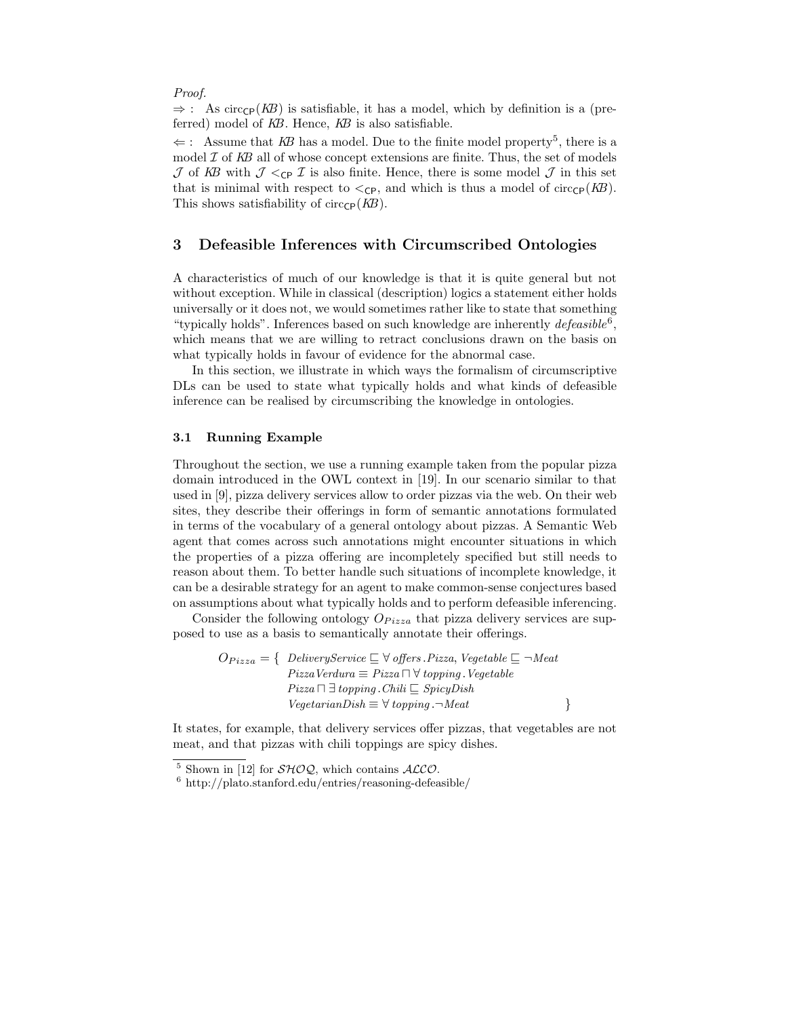Proof.

 $\Rightarrow$ : As circ<sub>CP</sub>(KB) is satisfiable, it has a model, which by definition is a (preferred) model of KB. Hence, KB is also satisfiable.

 $\Leftarrow$ : Assume that KB has a model. Due to the finite model property<sup>5</sup>, there is a model  $\mathcal I$  of  $KB$  all of whose concept extensions are finite. Thus, the set of models  $J$  of KB with  $J \lt_{\text{CP}} I$  is also finite. Hence, there is some model  $J$  in this set that is minimal with respect to  $\langle \text{c}_P \rangle$ , and which is thus a model of circ $\langle \text{c}_P(KB) \rangle$ . This shows satisfiability of circ $\mathsf{CP}(K\!B)$ .

## 3 Defeasible Inferences with Circumscribed Ontologies

A characteristics of much of our knowledge is that it is quite general but not without exception. While in classical (description) logics a statement either holds universally or it does not, we would sometimes rather like to state that something "typically holds". Inferences based on such knowledge are inherently  $defessible^6$ , which means that we are willing to retract conclusions drawn on the basis on what typically holds in favour of evidence for the abnormal case.

In this section, we illustrate in which ways the formalism of circumscriptive DLs can be used to state what typically holds and what kinds of defeasible inference can be realised by circumscribing the knowledge in ontologies.

### 3.1 Running Example

Throughout the section, we use a running example taken from the popular pizza domain introduced in the OWL context in [19]. In our scenario similar to that used in [9], pizza delivery services allow to order pizzas via the web. On their web sites, they describe their offerings in form of semantic annotations formulated in terms of the vocabulary of a general ontology about pizzas. A Semantic Web agent that comes across such annotations might encounter situations in which the properties of a pizza offering are incompletely specified but still needs to reason about them. To better handle such situations of incomplete knowledge, it can be a desirable strategy for an agent to make common-sense conjectures based on assumptions about what typically holds and to perform defeasible inferencing.

Consider the following ontology  $O_{Pizza}$  that pizza delivery services are supposed to use as a basis to semantically annotate their offerings.

$$
O_{Pizza} = \{ \begin{array}{c} DeliveryService \sqsubseteq \forall \text{ offers.} \text{Pizza}, \text{Vegetable} \sqsubseteq \neg \text{Meat} \\ \text{Pizza} \text{Verdura} \equiv \text{Pizza} \sqcap \forall \text{topping.} \text{Vegetable} \\ \text{Pizza} \sqcap \exists \text{topping.} \text{Chili} \sqsubseteq \text{SpicyDish} \\ \text{VegetarianDish} \equiv \forall \text{topping.} \neg \text{Meat} \end{array} \}
$$

It states, for example, that delivery services offer pizzas, that vegetables are not meat, and that pizzas with chili toppings are spicy dishes.

<sup>&</sup>lt;sup>5</sup> Shown in [12] for  $\mathcal{SHOQ}$ , which contains  $\mathcal{ALCO}$ .

 $6$  http://plato.stanford.edu/entries/reasoning-defeasible/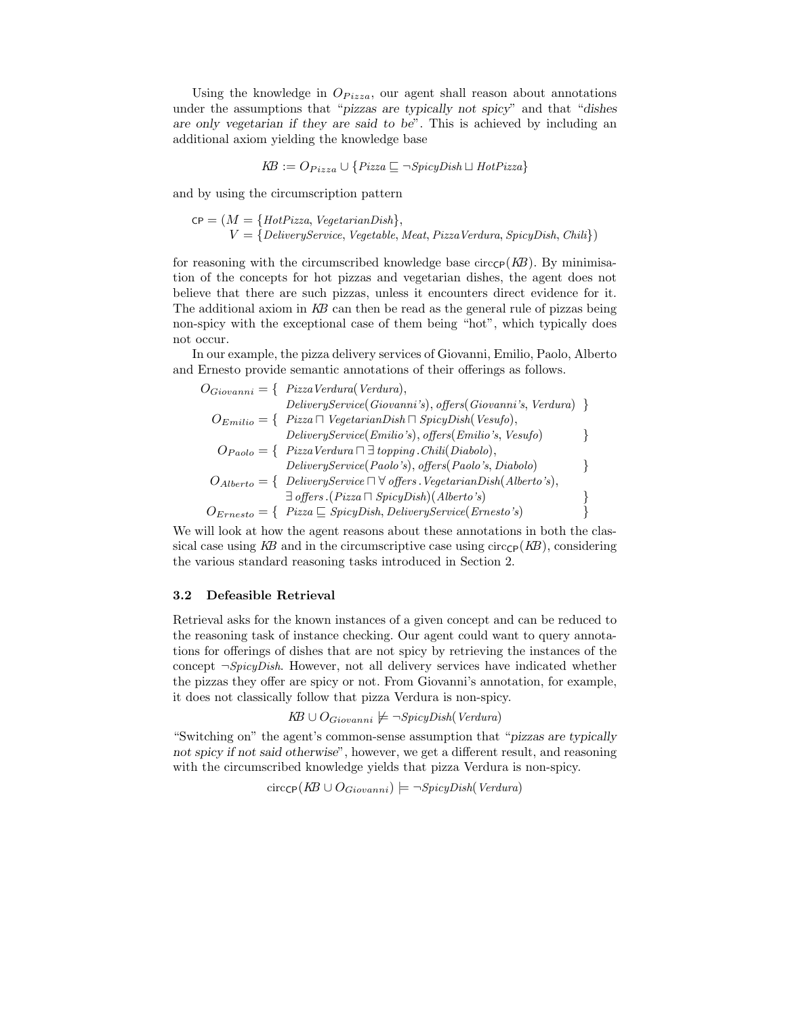Using the knowledge in  $O_{Pizza}$ , our agent shall reason about annotations under the assumptions that "pizzas are typically not spicy" and that "dishes are only vegetarian if they are said to be". This is achieved by including an additional axiom yielding the knowledge base

$$
KB := O_{Pizza} \cup \{ Pizza \sqsubseteq \neg SpicyDish \sqcup HotPizza \}
$$

and by using the circumscription pattern

 $CP = (M = {Hot Pizza, VegetarianDish},$  $V = \{DeliveruService, Vegetable, Meat, Pizza Verdura, SpicuDish, Chili\})$ 

for reasoning with the circumscribed knowledge base circ $_{\rm CP}(KB)$ . By minimisation of the concepts for hot pizzas and vegetarian dishes, the agent does not believe that there are such pizzas, unless it encounters direct evidence for it. The additional axiom in KB can then be read as the general rule of pizzas being non-spicy with the exceptional case of them being "hot", which typically does not occur.

In our example, the pizza delivery services of Giovanni, Emilio, Paolo, Alberto and Ernesto provide semantic annotations of their offerings as follows.

$$
O_{Giovanni} = \{ \text{Pizza Verdura} (Verdura), \\ \text{DeliveryService} (Giovanni's), offers (Giovanni's, Verdura) \}
$$
\n
$$
O_{Emilio} = \{ \text{Pizza } \cap \text{VegetarianDisk} \cap \text{SpicyDisk} (\text{Vesufo}), \\ \text{DeliveryService} (\text{Emilio's}), \text{offers} (\text{Emilio's}, \text{Vesufo}) \}
$$
\n
$$
O_{Paolo} = \{ \text{Pizza Verdura } \cap \exists \text{topping}. \text{Chili}(\text{Diabolo}), \\ \text{DeliveryService} (\text{Paolo's}), \text{offers} (\text{Paolo's}, \text{Diabolo}) \}
$$
\n
$$
O_{Alberto} = \{ \text{DeliveryService} \cap \forall \text{offers}. \text{VegetarianDisk} (\text{Alberto's}), \\ \exists \text{offers}. (\text{Pizza } \cap \text{SpicyDish}) (\text{Alberto's}) \}
$$
\n
$$
O_{Ernesto} = \{ \text{Pizza } \subseteq \text{SpicyDish}, \text{DeliveryService} (\text{Ernesto's}) \}
$$

We will look at how the agent reasons about these annotations in both the classical case using KB and in the circumscriptive case using  $circ_{\text{CP}}(KB)$ , considering the various standard reasoning tasks introduced in Section 2.

#### 3.2 Defeasible Retrieval

Retrieval asks for the known instances of a given concept and can be reduced to the reasoning task of instance checking. Our agent could want to query annotations for offerings of dishes that are not spicy by retrieving the instances of the concept  $\neg SpicyDish$ . However, not all delivery services have indicated whether the pizzas they offer are spicy or not. From Giovanni's annotation, for example, it does not classically follow that pizza Verdura is non-spicy.

$$
KB \cup O_{Giovanni} \not\models \neg SpicyDish(Verdura)
$$

"Switching on" the agent's common-sense assumption that "pizzas are typically not spicy if not said otherwise", however, we get a different result, and reasoning with the circumscribed knowledge yields that pizza Verdura is non-spicy.

$$
circ_{\text{CP}}(KB \cup O_{Giovanni}) \models \neg SpicyDish(Verdura)
$$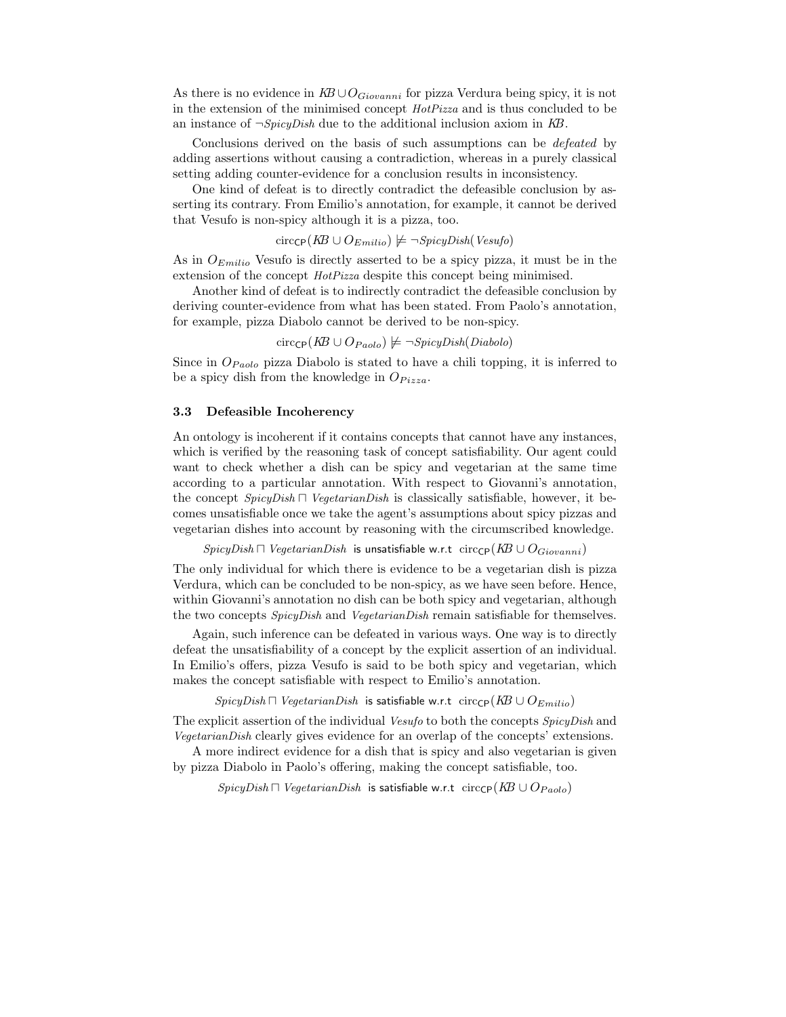As there is no evidence in  $KB \cup O_{Giovanni}$  for pizza Verdura being spicy, it is not in the extension of the minimised concept HotPizza and is thus concluded to be an instance of  $\neg SpicyDish$  due to the additional inclusion axiom in KB.

Conclusions derived on the basis of such assumptions can be defeated by adding assertions without causing a contradiction, whereas in a purely classical setting adding counter-evidence for a conclusion results in inconsistency.

One kind of defeat is to directly contradict the defeasible conclusion by asserting its contrary. From Emilio's annotation, for example, it cannot be derived that Vesufo is non-spicy although it is a pizza, too.

$$
circ_{\text{CP}}(KB \cup O_{Emilio}) \not\models \neg SpicyDish(Vesufo)
$$

As in  $O_{Emilio}$  Vesufo is directly asserted to be a spicy pizza, it must be in the extension of the concept HotPizza despite this concept being minimised.

Another kind of defeat is to indirectly contradict the defeasible conclusion by deriving counter-evidence from what has been stated. From Paolo's annotation, for example, pizza Diabolo cannot be derived to be non-spicy.

$$
circ_{\text{CP}}(KB \cup O_{Paolo}) \not\models \neg SpicyDish(Diabolo)
$$

Since in  $O_{Paolo}$  pizza Diabolo is stated to have a chili topping, it is inferred to be a spicy dish from the knowledge in  $O_{Pizza}$ .

#### 3.3 Defeasible Incoherency

An ontology is incoherent if it contains concepts that cannot have any instances, which is verified by the reasoning task of concept satisfiability. Our agent could want to check whether a dish can be spicy and vegetarian at the same time according to a particular annotation. With respect to Giovanni's annotation, the concept SpicyDish ⊓ VegetarianDish is classically satisfiable, however, it becomes unsatisfiable once we take the agent's assumptions about spicy pizzas and vegetarian dishes into account by reasoning with the circumscribed knowledge.

SpicyDish  $□$  VegetarianDish is unsatisfiable w.r.t circ<sub>CP</sub>(KB ∪  $O_{Giovanni}$ )

The only individual for which there is evidence to be a vegetarian dish is pizza Verdura, which can be concluded to be non-spicy, as we have seen before. Hence, within Giovanni's annotation no dish can be both spicy and vegetarian, although the two concepts SpicyDish and VegetarianDish remain satisfiable for themselves.

Again, such inference can be defeated in various ways. One way is to directly defeat the unsatisfiability of a concept by the explicit assertion of an individual. In Emilio's offers, pizza Vesufo is said to be both spicy and vegetarian, which makes the concept satisfiable with respect to Emilio's annotation.

*SpicyDish*  $\Box$  *VegetarianDish* is satisfiable w.r.t circ<sub>CP</sub>( $KB \cup O_{Emilio}$ )

The explicit assertion of the individual Vesufo to both the concepts SpicyDish and VegetarianDish clearly gives evidence for an overlap of the concepts' extensions.

A more indirect evidence for a dish that is spicy and also vegetarian is given by pizza Diabolo in Paolo's offering, making the concept satisfiable, too.

SpicyDish  $□$  VegetarianDish is satisfiable w.r.t circ<sub>CP</sub>(KB ∪ O<sub>Paolo</sub>)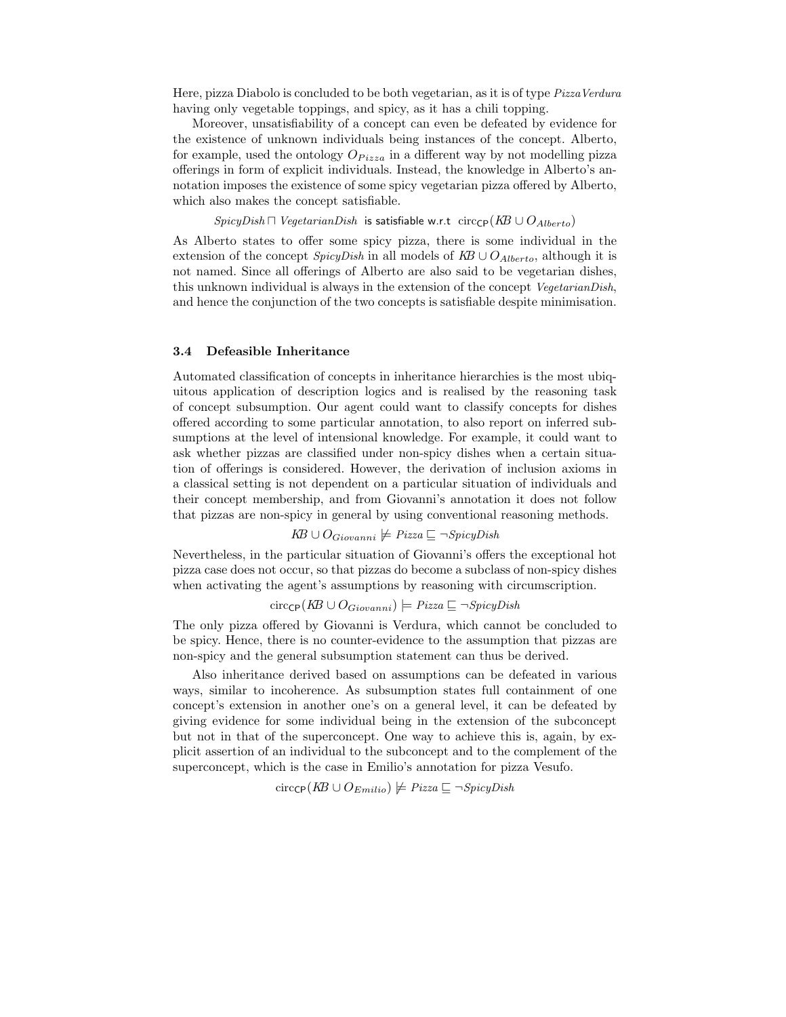Here, pizza Diabolo is concluded to be both vegetarian, as it is of type *PizzaVerdura* having only vegetable toppings, and spicy, as it has a chili topping.

Moreover, unsatisfiability of a concept can even be defeated by evidence for the existence of unknown individuals being instances of the concept. Alberto, for example, used the ontology  $O_{Pizza}$  in a different way by not modelling pizza offerings in form of explicit individuals. Instead, the knowledge in Alberto's annotation imposes the existence of some spicy vegetarian pizza offered by Alberto, which also makes the concept satisfiable.

SpicyDish  $\Box$  VegetarianDish is satisfiable w.r.t circ<sub>CP</sub>( $KB \cup O_{Alberto}$ )

As Alberto states to offer some spicy pizza, there is some individual in the extension of the concept SpicyDish in all models of  $KB \cup O_{Alberto}$ , although it is not named. Since all offerings of Alberto are also said to be vegetarian dishes, this unknown individual is always in the extension of the concept VegetarianDish, and hence the conjunction of the two concepts is satisfiable despite minimisation.

#### 3.4 Defeasible Inheritance

Automated classification of concepts in inheritance hierarchies is the most ubiquitous application of description logics and is realised by the reasoning task of concept subsumption. Our agent could want to classify concepts for dishes offered according to some particular annotation, to also report on inferred subsumptions at the level of intensional knowledge. For example, it could want to ask whether pizzas are classified under non-spicy dishes when a certain situation of offerings is considered. However, the derivation of inclusion axioms in a classical setting is not dependent on a particular situation of individuals and their concept membership, and from Giovanni's annotation it does not follow that pizzas are non-spicy in general by using conventional reasoning methods.

 $KB ∪ O_{Giovanni}$   $\nvdash$  Pizza  $\sqsubseteq \neg SpicyDish$ 

Nevertheless, in the particular situation of Giovanni's offers the exceptional hot pizza case does not occur, so that pizzas do become a subclass of non-spicy dishes when activating the agent's assumptions by reasoning with circumscription.

circ $C_P(KB \cup O_{Giovanni})$   $\models$  Pizza  $\sqsubseteq \neg SpicyDish$ 

The only pizza offered by Giovanni is Verdura, which cannot be concluded to be spicy. Hence, there is no counter-evidence to the assumption that pizzas are non-spicy and the general subsumption statement can thus be derived.

Also inheritance derived based on assumptions can be defeated in various ways, similar to incoherence. As subsumption states full containment of one concept's extension in another one's on a general level, it can be defeated by giving evidence for some individual being in the extension of the subconcept but not in that of the superconcept. One way to achieve this is, again, by explicit assertion of an individual to the subconcept and to the complement of the superconcept, which is the case in Emilio's annotation for pizza Vesufo.

$$
circ_{\text{CP}}(KB \cup O_{Emilio}) \not\models \text{Pizza} \sqsubseteq \neg \text{SpicyDish}
$$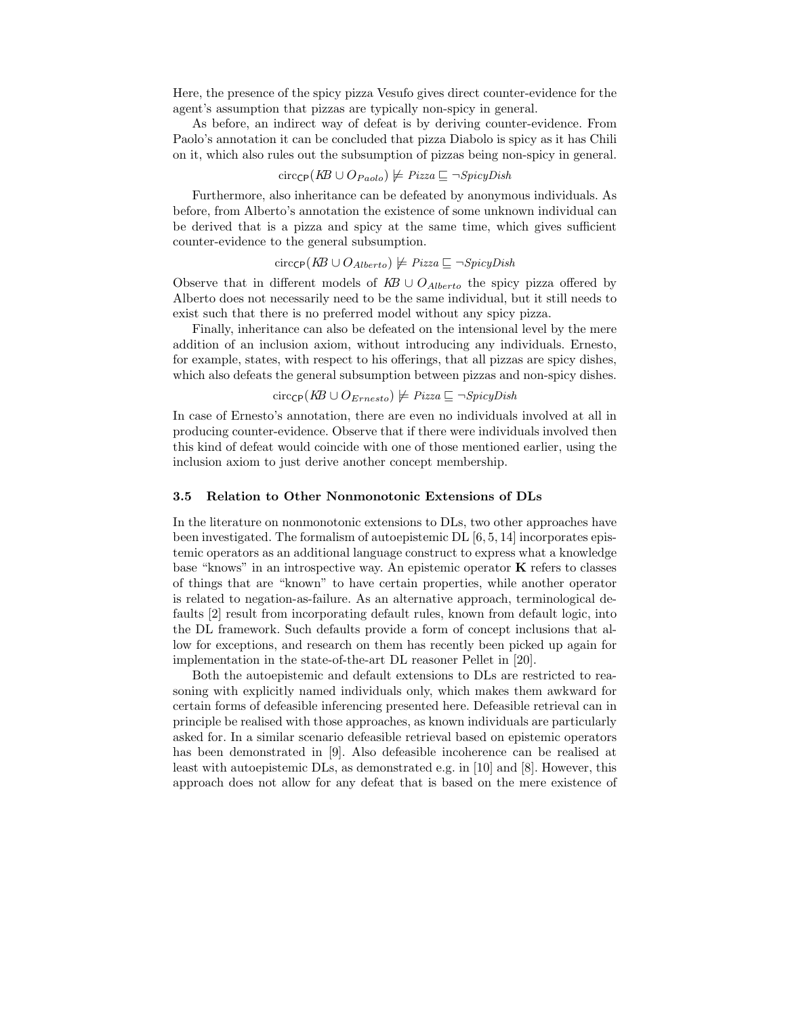Here, the presence of the spicy pizza Vesufo gives direct counter-evidence for the agent's assumption that pizzas are typically non-spicy in general.

As before, an indirect way of defeat is by deriving counter-evidence. From Paolo's annotation it can be concluded that pizza Diabolo is spicy as it has Chili on it, which also rules out the subsumption of pizzas being non-spicy in general.

$$
circ_{\mathsf{CP}}(K\!B \cup O_{Paolo}) \not\models \mathit{Pizza} \sqsubseteq \neg \mathit{SpicyDish}
$$

Furthermore, also inheritance can be defeated by anonymous individuals. As before, from Alberto's annotation the existence of some unknown individual can be derived that is a pizza and spicy at the same time, which gives sufficient counter-evidence to the general subsumption.

circ $c_P(KB \cup O_{Alberto}) \not\models \text{Pizza} \sqsubseteq \neg \text{SpicyDish}$ 

Observe that in different models of  $KB \cup O_{Alberto}$  the spicy pizza offered by Alberto does not necessarily need to be the same individual, but it still needs to exist such that there is no preferred model without any spicy pizza.

Finally, inheritance can also be defeated on the intensional level by the mere addition of an inclusion axiom, without introducing any individuals. Ernesto, for example, states, with respect to his offerings, that all pizzas are spicy dishes, which also defeats the general subsumption between pizzas and non-spicy dishes.

## circ $c_P(KB \cup O_{Ernesto}) \not\models Pizza ⊆ \neg SpicyDish$

In case of Ernesto's annotation, there are even no individuals involved at all in producing counter-evidence. Observe that if there were individuals involved then this kind of defeat would coincide with one of those mentioned earlier, using the inclusion axiom to just derive another concept membership.

#### 3.5 Relation to Other Nonmonotonic Extensions of DLs

In the literature on nonmonotonic extensions to DLs, two other approaches have been investigated. The formalism of autoepistemic DL [6, 5, 14] incorporates epistemic operators as an additional language construct to express what a knowledge base "knows" in an introspective way. An epistemic operator K refers to classes of things that are "known" to have certain properties, while another operator is related to negation-as-failure. As an alternative approach, terminological defaults [2] result from incorporating default rules, known from default logic, into the DL framework. Such defaults provide a form of concept inclusions that allow for exceptions, and research on them has recently been picked up again for implementation in the state-of-the-art DL reasoner Pellet in [20].

Both the autoepistemic and default extensions to DLs are restricted to reasoning with explicitly named individuals only, which makes them awkward for certain forms of defeasible inferencing presented here. Defeasible retrieval can in principle be realised with those approaches, as known individuals are particularly asked for. In a similar scenario defeasible retrieval based on epistemic operators has been demonstrated in [9]. Also defeasible incoherence can be realised at least with autoepistemic DLs, as demonstrated e.g. in [10] and [8]. However, this approach does not allow for any defeat that is based on the mere existence of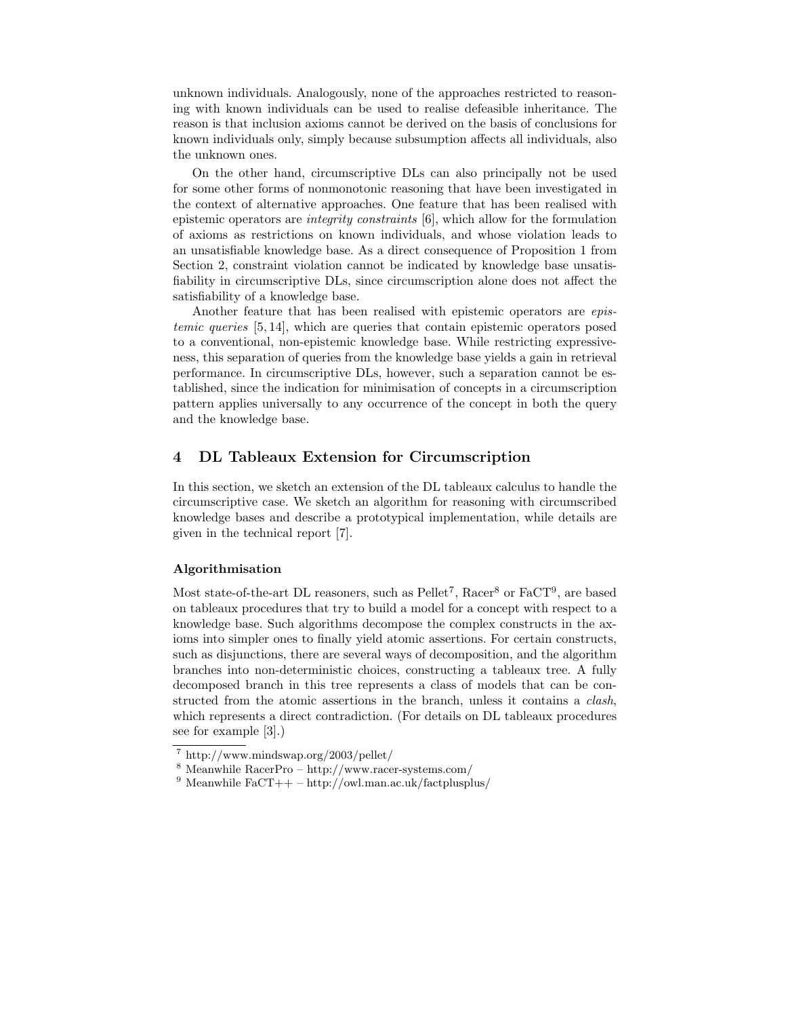unknown individuals. Analogously, none of the approaches restricted to reasoning with known individuals can be used to realise defeasible inheritance. The reason is that inclusion axioms cannot be derived on the basis of conclusions for known individuals only, simply because subsumption affects all individuals, also the unknown ones.

On the other hand, circumscriptive DLs can also principally not be used for some other forms of nonmonotonic reasoning that have been investigated in the context of alternative approaches. One feature that has been realised with epistemic operators are integrity constraints [6], which allow for the formulation of axioms as restrictions on known individuals, and whose violation leads to an unsatisfiable knowledge base. As a direct consequence of Proposition 1 from Section 2, constraint violation cannot be indicated by knowledge base unsatisfiability in circumscriptive DLs, since circumscription alone does not affect the satisfiability of a knowledge base.

Another feature that has been realised with epistemic operators are epistemic queries [5, 14], which are queries that contain epistemic operators posed to a conventional, non-epistemic knowledge base. While restricting expressiveness, this separation of queries from the knowledge base yields a gain in retrieval performance. In circumscriptive DLs, however, such a separation cannot be established, since the indication for minimisation of concepts in a circumscription pattern applies universally to any occurrence of the concept in both the query and the knowledge base.

## 4 DL Tableaux Extension for Circumscription

In this section, we sketch an extension of the DL tableaux calculus to handle the circumscriptive case. We sketch an algorithm for reasoning with circumscribed knowledge bases and describe a prototypical implementation, while details are given in the technical report [7].

#### Algorithmisation

Most state-of-the-art DL reasoners, such as  $Pell^7$ , Racer<sup>8</sup> or  $FacT^9$ , are based on tableaux procedures that try to build a model for a concept with respect to a knowledge base. Such algorithms decompose the complex constructs in the axioms into simpler ones to finally yield atomic assertions. For certain constructs, such as disjunctions, there are several ways of decomposition, and the algorithm branches into non-deterministic choices, constructing a tableaux tree. A fully decomposed branch in this tree represents a class of models that can be constructed from the atomic assertions in the branch, unless it contains a *clash*, which represents a direct contradiction. (For details on DL tableaux procedures see for example [3].)

<sup>7</sup> http://www.mindswap.org/2003/pellet/

<sup>8</sup> Meanwhile RacerPro – http://www.racer-systems.com/

<sup>&</sup>lt;sup>9</sup> Meanwhile FaCT++ – http://owl.man.ac.uk/factplusplus/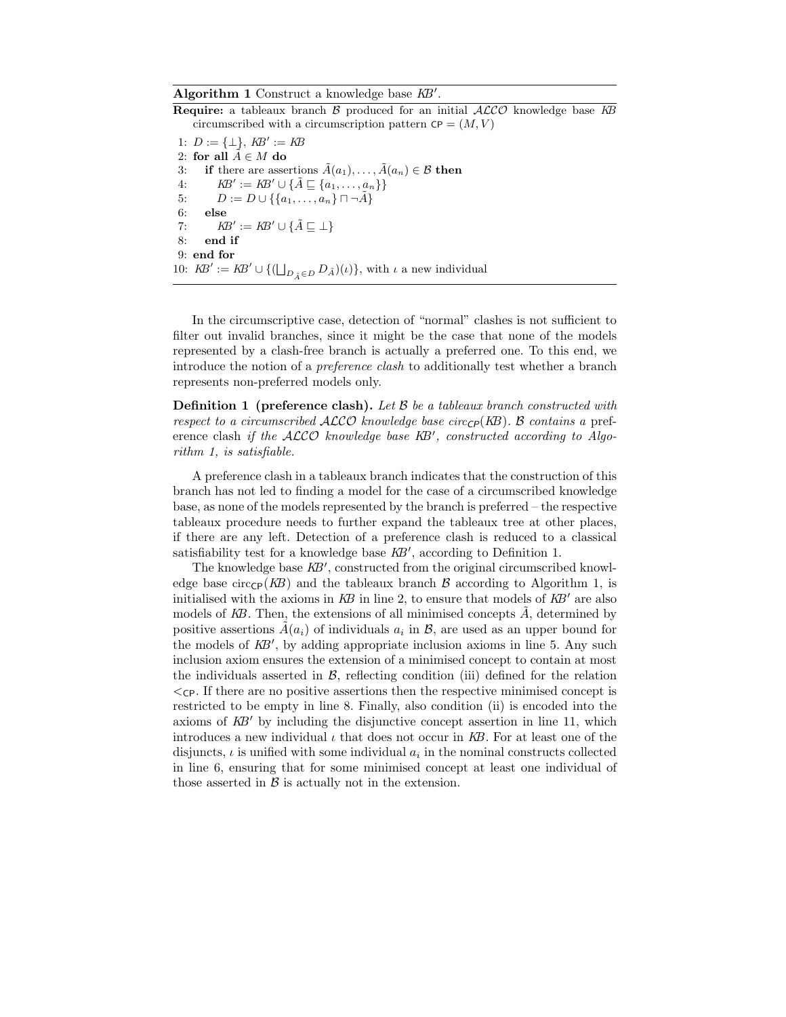Algorithm 1 Construct a knowledge base  $KB'$ 

**Require:** a tableaux branch  $\beta$  produced for an initial  $\mathcal{ALCO}$  knowledge base  $KB$ circumscribed with a circumscription pattern  $\mathsf{CP} = (M, V)$ 

.

1:  $D := {\perp}, KB' := KB$ 2: for all  $\tilde{A} \in M$  do 3: if there are assertions  $\tilde{A}(a_1), \ldots, \tilde{A}(a_n) \in \mathcal{B}$  then 4:  $KB' := KB' \cup \{\tilde{A} \sqsubseteq \{a_1, \ldots, a_n\}\}\$ 5:  $D := D \cup \{\{a_1, \ldots, a_n\} \sqcap \neg \tilde{A}\}\$ 6: else 7:  $\mathit{KB}' := \mathit{KB}' \cup \{\tilde{A} \sqsubseteq \bot\}$ 8: end if 9: end for 10:  $\mathit{RB}' := \mathit{KB}' \cup \{(\bigsqcup_{D_{\tilde{A}} \in D} D_{\tilde{A}})(\iota)\},\$  with  $\iota$  a new individual

In the circumscriptive case, detection of "normal" clashes is not sufficient to filter out invalid branches, since it might be the case that none of the models represented by a clash-free branch is actually a preferred one. To this end, we introduce the notion of a preference clash to additionally test whether a branch represents non-preferred models only.

**Definition 1** (preference clash). Let  $\beta$  be a tableaux branch constructed with respect to a circumscribed  $ALCO$  knowledge base circ $\mathcal{C}_P(KB)$ . B contains a preference clash if the ALCO knowledge base KB', constructed according to Algorithm 1, is satisfiable.

A preference clash in a tableaux branch indicates that the construction of this branch has not led to finding a model for the case of a circumscribed knowledge base, as none of the models represented by the branch is preferred – the respective tableaux procedure needs to further expand the tableaux tree at other places, if there are any left. Detection of a preference clash is reduced to a classical satisfiability test for a knowledge base  $KB'$ , according to Definition 1.

The knowledge base  $KB'$ , constructed from the original circumscribed knowledge base circ $\epsilon_P(KB)$  and the tableaux branch B according to Algorithm 1, is initialised with the axioms in  $KB$  in line 2, to ensure that models of  $KB'$  are also models of  $KB$ . Then, the extensions of all minimised concepts  $A$ , determined by positive assertions  $\tilde{A}(a_i)$  of individuals  $a_i$  in  $\mathcal{B}$ , are used as an upper bound for the models of  $KB'$ , by adding appropriate inclusion axioms in line 5. Any such inclusion axiom ensures the extension of a minimised concept to contain at most the individuals asserted in  $\beta$ , reflecting condition (iii) defined for the relation  $\langle$ <sub>CP</sub>. If there are no positive assertions then the respective minimised concept is restricted to be empty in line 8. Finally, also condition (ii) is encoded into the axioms of  $KB'$  by including the disjunctive concept assertion in line 11, which introduces a new individual  $\iota$  that does not occur in KB. For at least one of the disjuncts,  $\iota$  is unified with some individual  $a_i$  in the nominal constructs collected in line 6, ensuring that for some minimised concept at least one individual of those asserted in  $\beta$  is actually not in the extension.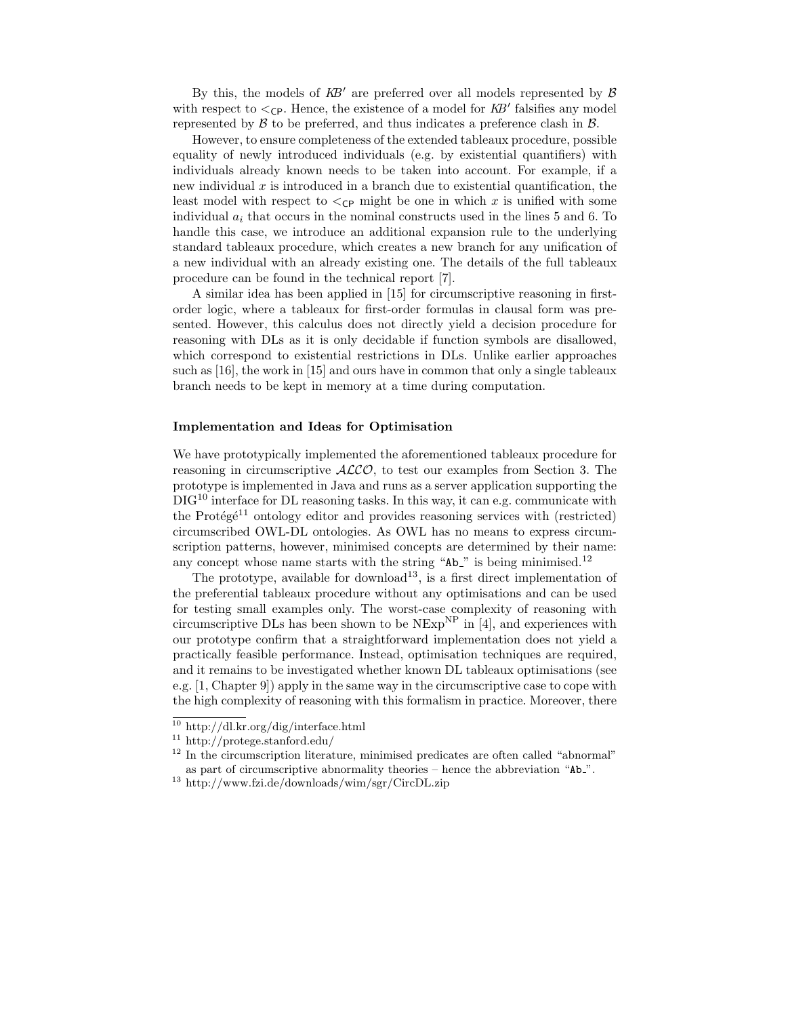By this, the models of  $KB'$  are preferred over all models represented by  $\beta$ with respect to  $\lt_{\text{CP}}$ . Hence, the existence of a model for  $KB'$  falsifies any model represented by  $\beta$  to be preferred, and thus indicates a preference clash in  $\beta$ .

However, to ensure completeness of the extended tableaux procedure, possible equality of newly introduced individuals (e.g. by existential quantifiers) with individuals already known needs to be taken into account. For example, if a new individual  $x$  is introduced in a branch due to existential quantification, the least model with respect to  $\lt_{\text{CP}}$  might be one in which x is unified with some individual  $a_i$  that occurs in the nominal constructs used in the lines 5 and 6. To handle this case, we introduce an additional expansion rule to the underlying standard tableaux procedure, which creates a new branch for any unification of a new individual with an already existing one. The details of the full tableaux procedure can be found in the technical report [7].

A similar idea has been applied in [15] for circumscriptive reasoning in firstorder logic, where a tableaux for first-order formulas in clausal form was presented. However, this calculus does not directly yield a decision procedure for reasoning with DLs as it is only decidable if function symbols are disallowed, which correspond to existential restrictions in DLs. Unlike earlier approaches such as [16], the work in [15] and ours have in common that only a single tableaux branch needs to be kept in memory at a time during computation.

#### Implementation and Ideas for Optimisation

We have prototypically implemented the aforementioned tableaux procedure for reasoning in circumscriptive  $ALCO$ , to test our examples from Section 3. The prototype is implemented in Java and runs as a server application supporting the  $\text{DIC}^{10}$  interface for DL reasoning tasks. In this way, it can e.g. communicate with the Protégé<sup>11</sup> ontology editor and provides reasoning services with (restricted) circumscribed OWL-DL ontologies. As OWL has no means to express circumscription patterns, however, minimised concepts are determined by their name: any concept whose name starts with the string " $Ab$ " is being minimised.<sup>12</sup>

The prototype, available for download<sup>13</sup>, is a first direct implementation of the preferential tableaux procedure without any optimisations and can be used for testing small examples only. The worst-case complexity of reasoning with circumscriptive DLs has been shown to be  $NExp^{NP}$  in [4], and experiences with our prototype confirm that a straightforward implementation does not yield a practically feasible performance. Instead, optimisation techniques are required, and it remains to be investigated whether known DL tableaux optimisations (see e.g. [1, Chapter 9]) apply in the same way in the circumscriptive case to cope with the high complexity of reasoning with this formalism in practice. Moreover, there

<sup>10</sup> http://dl.kr.org/dig/interface.html

 $^{11}$ http://protege.stanford.edu/

<sup>&</sup>lt;sup>12</sup> In the circumscription literature, minimised predicates are often called "abnormal" as part of circumscriptive abnormality theories – hence the abbreviation "Ab ".

<sup>13</sup> http://www.fzi.de/downloads/wim/sgr/CircDL.zip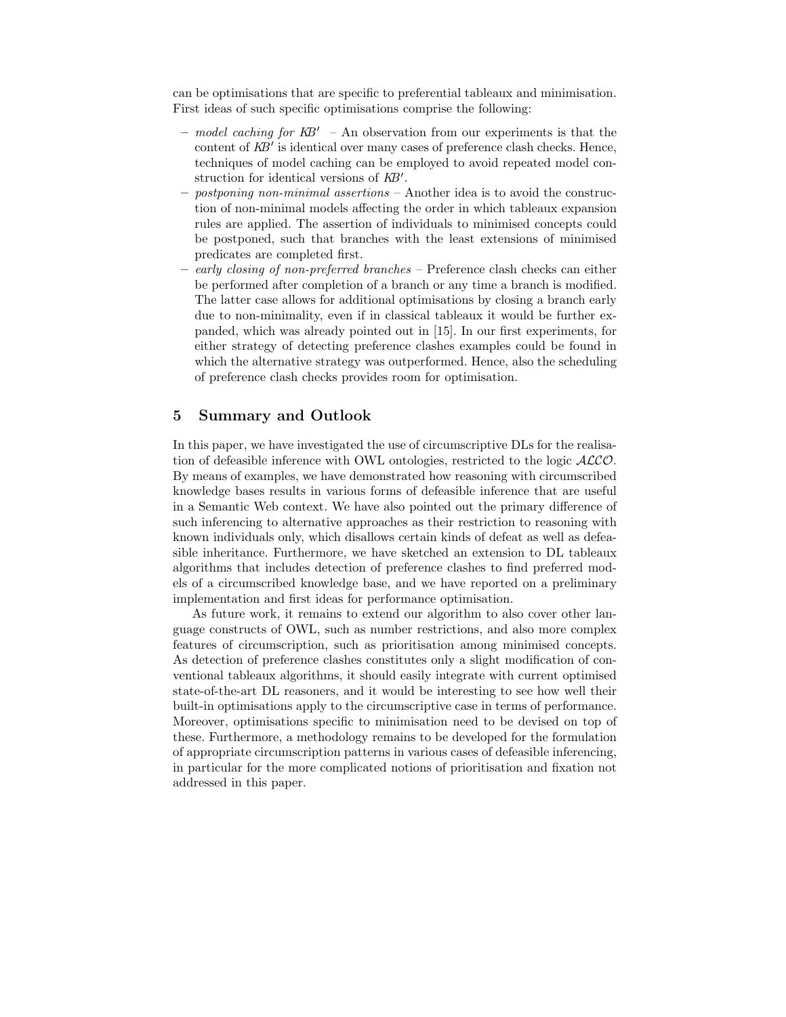can be optimisations that are specific to preferential tableaux and minimisation. First ideas of such specific optimisations comprise the following:

- model caching for  $KB'$  An observation from our experiments is that the content of  $KB'$  is identical over many cases of preference clash checks. Hence, techniques of model caching can be employed to avoid repeated model construction for identical versions of  $KB'$ .
- $-$  postponing non-minimal assertions  $-$  Another idea is to avoid the construction of non-minimal models affecting the order in which tableaux expansion rules are applied. The assertion of individuals to minimised concepts could be postponed, such that branches with the least extensions of minimised predicates are completed first.
- early closing of non-preferred branches Preference clash checks can either be performed after completion of a branch or any time a branch is modified. The latter case allows for additional optimisations by closing a branch early due to non-minimality, even if in classical tableaux it would be further expanded, which was already pointed out in [15]. In our first experiments, for either strategy of detecting preference clashes examples could be found in which the alternative strategy was outperformed. Hence, also the scheduling of preference clash checks provides room for optimisation.

## 5 Summary and Outlook

In this paper, we have investigated the use of circumscriptive DLs for the realisation of defeasible inference with OWL ontologies, restricted to the logic ALCO. By means of examples, we have demonstrated how reasoning with circumscribed knowledge bases results in various forms of defeasible inference that are useful in a Semantic Web context. We have also pointed out the primary difference of such inferencing to alternative approaches as their restriction to reasoning with known individuals only, which disallows certain kinds of defeat as well as defeasible inheritance. Furthermore, we have sketched an extension to DL tableaux algorithms that includes detection of preference clashes to find preferred models of a circumscribed knowledge base, and we have reported on a preliminary implementation and first ideas for performance optimisation.

As future work, it remains to extend our algorithm to also cover other language constructs of OWL, such as number restrictions, and also more complex features of circumscription, such as prioritisation among minimised concepts. As detection of preference clashes constitutes only a slight modification of conventional tableaux algorithms, it should easily integrate with current optimised state-of-the-art DL reasoners, and it would be interesting to see how well their built-in optimisations apply to the circumscriptive case in terms of performance. Moreover, optimisations specific to minimisation need to be devised on top of these. Furthermore, a methodology remains to be developed for the formulation of appropriate circumscription patterns in various cases of defeasible inferencing, in particular for the more complicated notions of prioritisation and fixation not addressed in this paper.